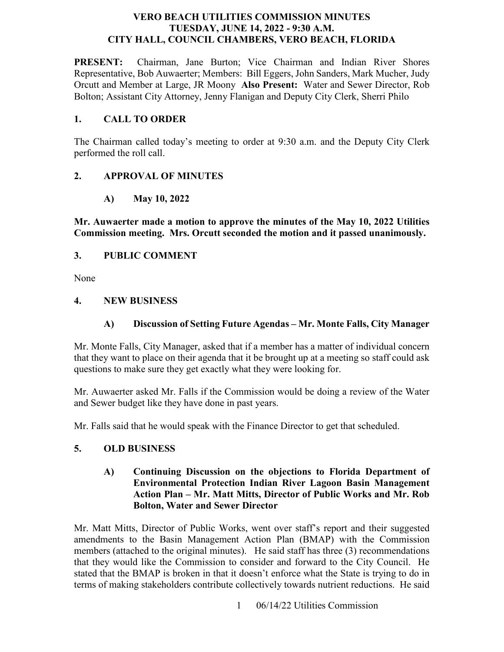### **VERO BEACH UTILITIES COMMISSION MINUTES TUESDAY, JUNE 14, 2022 - 9:30 A.M. CITY HALL, COUNCIL CHAMBERS, VERO BEACH, FLORIDA**

**PRESENT:**  Orcutt and Member at Large, JR Moony **Also Present:** Water and Sewer Director, Rob Chairman, Jane Burton; Vice Chairman and Indian River Shores Representative, Bob Auwaerter; Members: Bill Eggers, John Sanders, Mark Mucher, Judy Bolton; Assistant City Attorney, Jenny Flanigan and Deputy City Clerk, Sherri Philo

### **1. CALL TO ORDER**

The Chairman called today's meeting to order at 9:30 a.m. and the Deputy City Clerk performed the roll call.

## **2. APPROVAL OF MINUTES**

**A) May 10, 2022** 

 **Mr. Auwaerter made a motion to approve the minutes of the May 10, 2022 Utilities Commission meeting. Mrs. Orcutt seconded the motion and it passed unanimously.** 

## **3. PUBLIC COMMENT**

None

### **4. NEW BUSINESS**

### **A) Discussion of Setting Future Agendas – Mr. Monte Falls, City Manager**

 Mr. Monte Falls, City Manager, asked that if a member has a matter of individual concern that they want to place on their agenda that it be brought up at a meeting so staff could ask questions to make sure they get exactly what they were looking for.

 Mr. Auwaerter asked Mr. Falls if the Commission would be doing a review of the Water and Sewer budget like they have done in past years.

Mr. Falls said that he would speak with the Finance Director to get that scheduled.

## **5. OLD BUSINESS**

### **A) Continuing Discussion on the objections to Florida Department of Environmental Protection Indian River Lagoon Basin Management Action Plan – Mr. Matt Mitts, Director of Public Works and Mr. Rob Bolton, Water and Sewer Director**

Mr. Matt Mitts, Director of Public Works, went over staff's report and their suggested amendments to the Basin Management Action Plan (BMAP) with the Commission members (attached to the original minutes). He said staff has three (3) recommendations that they would like the Commission to consider and forward to the City Council. He stated that the BMAP is broken in that it doesn't enforce what the State is trying to do in terms of making stakeholders contribute collectively towards nutrient reductions. He said

1 06/14/22 Utilities Commission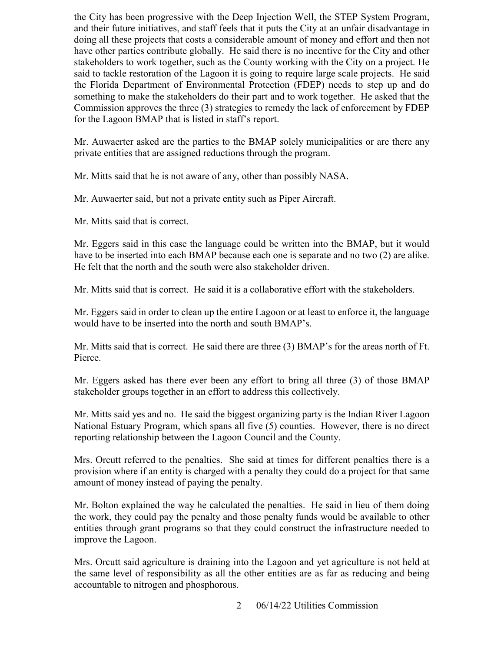for the Lagoon BMAP that is listed in staff's report. the City has been progressive with the Deep Injection Well, the STEP System Program, and their future initiatives, and staff feels that it puts the City at an unfair disadvantage in doing all these projects that costs a considerable amount of money and effort and then not have other parties contribute globally. He said there is no incentive for the City and other stakeholders to work together, such as the County working with the City on a project. He said to tackle restoration of the Lagoon it is going to require large scale projects. He said the Florida Department of Environmental Protection (FDEP) needs to step up and do something to make the stakeholders do their part and to work together. He asked that the Commission approves the three (3) strategies to remedy the lack of enforcement by FDEP

Mr. Auwaerter asked are the parties to the BMAP solely municipalities or are there any private entities that are assigned reductions through the program.

Mr. Mitts said that he is not aware of any, other than possibly NASA.

Mr. Auwaerter said, but not a private entity such as Piper Aircraft.

Mr. Mitts said that is correct.

 have to be inserted into each BMAP because each one is separate and no two (2) are alike. He felt that the north and the south were also stakeholder driven. Mr. Eggers said in this case the language could be written into the BMAP, but it would

Mr. Mitts said that is correct. He said it is a collaborative effort with the stakeholders.

Mr. Mitts said that is correct. He said it is a collaborative effort with the stakeholders.<br>Mr. Eggers said in order to clean up the entire Lagoon or at least to enforce it, the language would have to be inserted into the north and south BMAP's.

Mr. Mitts said that is correct. He said there are three (3) BMAP's for the areas north of Ft. Pierce.

 Mr. Eggers asked has there ever been any effort to bring all three (3) of those BMAP stakeholder groups together in an effort to address this collectively.

Mr. Mitts said yes and no. He said the biggest organizing party is the Indian River Lagoon National Estuary Program, which spans all five (5) counties. However, there is no direct reporting relationship between the Lagoon Council and the County.

 Mrs. Orcutt referred to the penalties. She said at times for different penalties there is a provision where if an entity is charged with a penalty they could do a project for that same amount of money instead of paying the penalty.

 improve the Lagoon. Mr. Bolton explained the way he calculated the penalties. He said in lieu of them doing the work, they could pay the penalty and those penalty funds would be available to other entities through grant programs so that they could construct the infrastructure needed to

Mrs. Orcutt said agriculture is draining into the Lagoon and yet agriculture is not held at the same level of responsibility as all the other entities are as far as reducing and being accountable to nitrogen and phosphorous.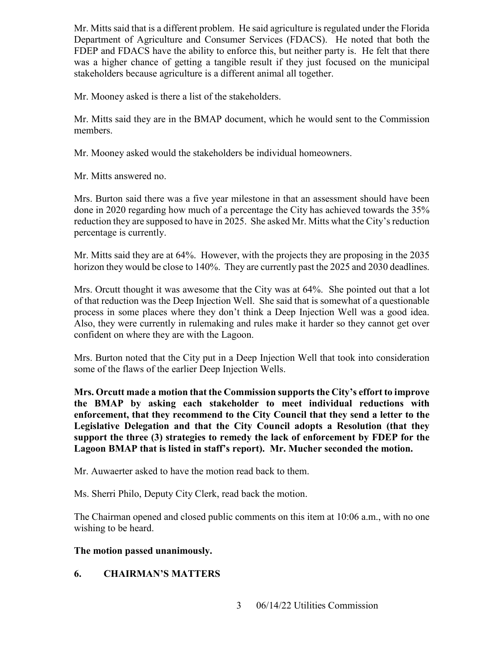Mr. Mitts said that is a different problem. He said agriculture is regulated under the Florida Department of Agriculture and Consumer Services (FDACS). He noted that both the FDEP and FDACS have the ability to enforce this, but neither party is. He felt that there was a higher chance of getting a tangible result if they just focused on the municipal stakeholders because agriculture is a different animal all together.

Mr. Mooney asked is there a list of the stakeholders.

Mr. Mitts said they are in the BMAP document, which he would sent to the Commission members.

Mr. Mooney asked would the stakeholders be individual homeowners.

Mr. Mitts answered no.

 reduction they are supposed to have in 2025. She asked Mr. Mitts what the City's reduction Mrs. Burton said there was a five year milestone in that an assessment should have been done in 2020 regarding how much of a percentage the City has achieved towards the 35% percentage is currently.

 horizon they would be close to 140%. They are currently past the 2025 and 2030 deadlines. Mr. Mitts said they are at 64%. However, with the projects they are proposing in the 2035

 process in some places where they don't think a Deep Injection Well was a good idea. confident on where they are with the Lagoon. Mrs. Orcutt thought it was awesome that the City was at 64%. She pointed out that a lot of that reduction was the Deep Injection Well. She said that is somewhat of a questionable Also, they were currently in rulemaking and rules make it harder so they cannot get over

 some of the flaws of the earlier Deep Injection Wells. Mrs. Burton noted that the City put in a Deep Injection Well that took into consideration

 **Mrs. Orcutt made a motion that the Commission supports the City's effort to improve the BMAP by asking each stakeholder to meet individual reductions with Lagoon BMAP that is listed in staff's report). Mr. Mucher seconded the motion. enforcement, that they recommend to the City Council that they send a letter to the Legislative Delegation and that the City Council adopts a Resolution (that they support the three (3) strategies to remedy the lack of enforcement by FDEP for the** 

Mr. Auwaerter asked to have the motion read back to them.

Ms. Sherri Philo, Deputy City Clerk, read back the motion.

The Chairman opened and closed public comments on this item at 10:06 a.m., with no one wishing to be heard.

# **The motion passed unanimously.**

# **6. CHAIRMAN'S MATTERS**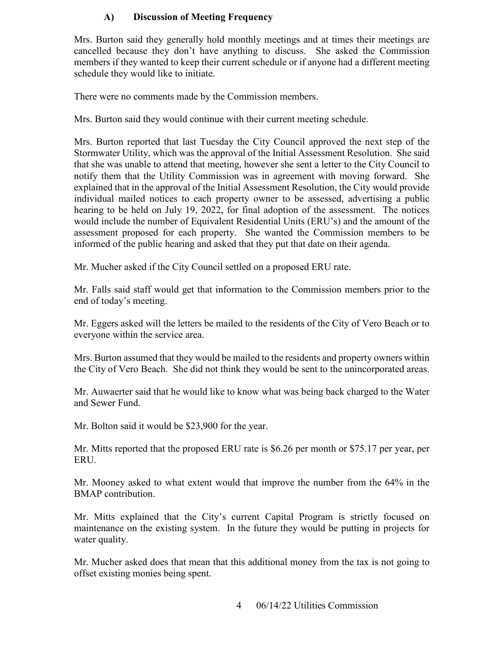## **A) Discussion of Meeting Frequency**

 schedule they would like to initiate. Mrs. Burton said they generally hold monthly meetings and at times their meetings are cancelled because they don't have anything to discuss. She asked the Commission members if they wanted to keep their current schedule or if anyone had a different meeting

There were no comments made by the Commission members.

Mrs. Burton said they would continue with their current meeting schedule.

 assessment proposed for each property. She wanted the Commission members to be Mrs. Burton reported that last Tuesday the City Council approved the next step of the Stormwater Utility, which was the approval of the Initial Assessment Resolution. She said that she was unable to attend that meeting, however she sent a letter to the City Council to notify them that the Utility Commission was in agreement with moving forward. She explained that in the approval of the Initial Assessment Resolution, the City would provide individual mailed notices to each property owner to be assessed, advertising a public hearing to be held on July 19, 2022, for final adoption of the assessment. The notices would include the number of Equivalent Residential Units (ERU's) and the amount of the informed of the public hearing and asked that they put that date on their agenda.

Mr. Mucher asked if the City Council settled on a proposed ERU rate.

Mr. Falls said staff would get that information to the Commission members prior to the end of today's meeting.

Mr. Eggers asked will the letters be mailed to the residents of the City of Vero Beach or to everyone within the service area.

Mrs. Burton assumed that they would be mailed to the residents and property owners within the City of Vero Beach. She did not think they would be sent to the unincorporated areas.

 and Sewer Fund. Mr. Auwaerter said that he would like to know what was being back charged to the Water

Mr. Bolton said it would be \$23,900 for the year.

 Mr. Mitts reported that the proposed ERU rate is \$6.26 per month or \$75.17 per year, per ERU.

Mr. Mooney asked to what extent would that improve the number from the 64% in the BMAP contribution.

Mr. Mitts explained that the City's current Capital Program is strictly focused on maintenance on the existing system. In the future they would be putting in projects for water quality.

Mr. Mucher asked does that mean that this additional money from the tax is not going to offset existing monies being spent.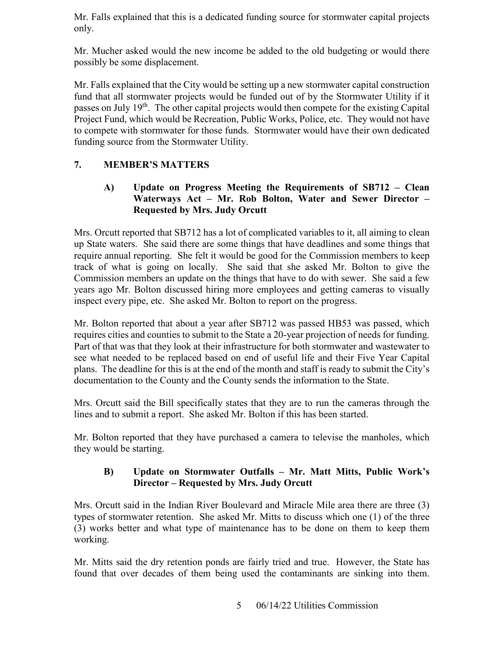Mr. Falls explained that this is a dedicated funding source for stormwater capital projects only.

 Mr. Mucher asked would the new income be added to the old budgeting or would there possibly be some displacement.

 to compete with stormwater for those funds. Stormwater would have their own dedicated Mr. Falls explained that the City would be setting up a new stormwater capital construction fund that all stormwater projects would be funded out of by the Stormwater Utility if it passes on July 19<sup>th</sup>. The other capital projects would then compete for the existing Capital Project Fund, which would be Recreation, Public Works, Police, etc. They would not have funding source from the Stormwater Utility.

# **7. MEMBER'S MATTERS**

## **A) Update on Progress Meeting the Requirements of SB712 – Clean Waterways Act – Mr. Rob Bolton, Water and Sewer Director – Requested by Mrs. Judy Orcutt**

 track of what is going on locally. She said that she asked Mr. Bolton to give the Mrs. Orcutt reported that SB712 has a lot of complicated variables to it, all aiming to clean up State waters. She said there are some things that have deadlines and some things that require annual reporting. She felt it would be good for the Commission members to keep Commission members an update on the things that have to do with sewer. She said a few years ago Mr. Bolton discussed hiring more employees and getting cameras to visually inspect every pipe, etc. She asked Mr. Bolton to report on the progress.

 Mr. Bolton reported that about a year after SB712 was passed HB53 was passed, which requires cities and counties to submit to the State a 20-year projection of needs for funding. Part of that was that they look at their infrastructure for both stormwater and wastewater to see what needed to be replaced based on end of useful life and their Five Year Capital plans. The deadline for this is at the end of the month and staff is ready to submit the City's documentation to the County and the County sends the information to the State.

lines and to submit a report. She asked Mr. Bolton if this has been started. Mrs. Orcutt said the Bill specifically states that they are to run the cameras through the

Mr. Bolton reported that they have purchased a camera to televise the manholes, which they would be starting.

# **Director – Requested by Mrs. Judy Orcutt B) Update on Stormwater Outfalls – Mr. Matt Mitts, Public Work's**

Mrs. Orcutt said in the Indian River Boulevard and Miracle Mile area there are three (3) types of stormwater retention. She asked Mr. Mitts to discuss which one (1) of the three (3) works better and what type of maintenance has to be done on them to keep them working.

found that over decades of them being used the contaminants are sinking into them.<br>5 06/14/22 Utilities Commission Mr. Mitts said the dry retention ponds are fairly tried and true. However, the State has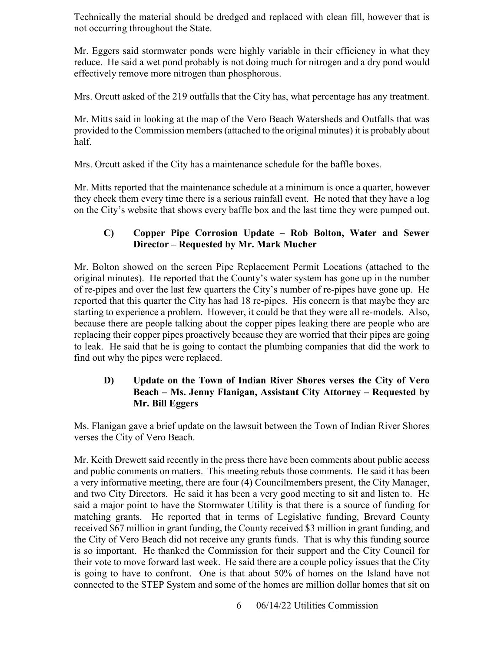Technically the material should be dredged and replaced with clean fill, however that is not occurring throughout the State.

 reduce. He said a wet pond probably is not doing much for nitrogen and a dry pond would Mr. Eggers said stormwater ponds were highly variable in their efficiency in what they effectively remove more nitrogen than phosphorous.

Mrs. Orcutt asked of the 219 outfalls that the City has, what percentage has any treatment.

 provided to the Commission members (attached to the original minutes) it is probably about Mr. Mitts said in looking at the map of the Vero Beach Watersheds and Outfalls that was half.

Mrs. Orcutt asked if the City has a maintenance schedule for the baffle boxes.

Mr. Mitts reported that the maintenance schedule at a minimum is once a quarter, however they check them every time there is a serious rainfall event. He noted that they have a log on the City's website that shows every baffle box and the last time they were pumped out.

# **Director – Requested by Mr. Mark Mucher C) Copper Pipe Corrosion Update – Rob Bolton, Water and Sewer**

 because there are people talking about the copper pipes leaking there are people who are Mr. Bolton showed on the screen Pipe Replacement Permit Locations (attached to the original minutes). He reported that the County's water system has gone up in the number of re-pipes and over the last few quarters the City's number of re-pipes have gone up. He reported that this quarter the City has had 18 re-pipes. His concern is that maybe they are starting to experience a problem. However, it could be that they were all re-models. Also, replacing their copper pipes proactively because they are worried that their pipes are going to leak. He said that he is going to contact the plumbing companies that did the work to find out why the pipes were replaced.

## **D) Update on the Town of Indian River Shores verses the City of Vero Beach – Ms. Jenny Flanigan, Assistant City Attorney – Requested by Mr. Bill Eggers**

 Ms. Flanigan gave a brief update on the lawsuit between the Town of Indian River Shores verses the City of Vero Beach.

verses the City of Vero Beach.<br>Mr. Keith Drewett said recently in the press there have been comments about public access and two City Directors. He said it has been a very good meeting to sit and listen to. He matching grants. He reported that in terms of Legislative funding, Brevard County and public comments on matters. This meeting rebuts those comments. He said it has been a very informative meeting, there are four (4) Councilmembers present, the City Manager, said a major point to have the Stormwater Utility is that there is a source of funding for received \$67 million in grant funding, the County received \$3 million in grant funding, and the City of Vero Beach did not receive any grants funds. That is why this funding source is so important. He thanked the Commission for their support and the City Council for their vote to move forward last week. He said there are a couple policy issues that the City is going to have to confront. One is that about 50% of homes on the Island have not connected to the STEP System and some of the homes are million dollar homes that sit on

6 06/14/22 Utilities Commission